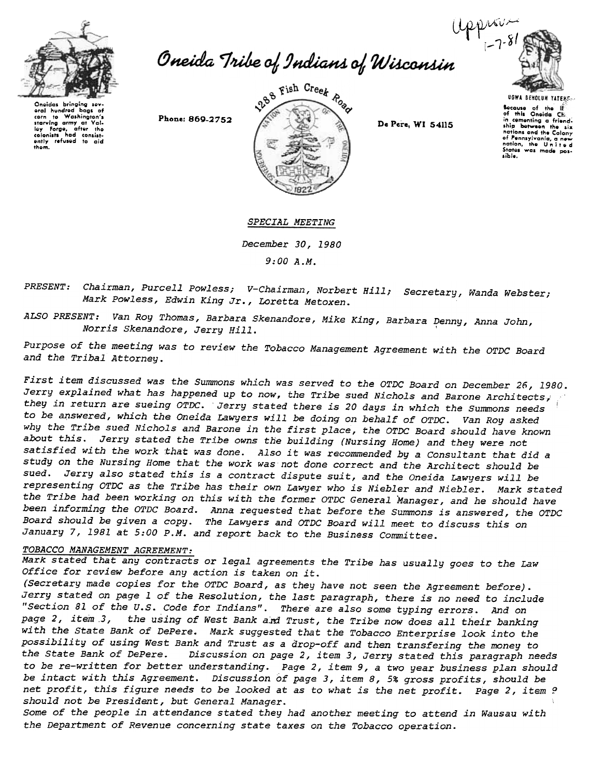



Oneidas bringing sov-<br>oral hundrod bags of oral hundrod bags of<br>corn to Washington's<br>starving army at Val-<br>loy Forge, after the colonists had consist<br>ently refused to aid<br>them.



UGWA BEHOLUH YATEMENT<br>
Bocauss of the IE<br>
of this Oneida CHI;<br>
in cementing a friend;<br>
in cementing a new<br>
nations and the Colony<br>
of Pennsylvania, a new<br>
nation, the United States was made pos-.ib/e.

SPECIAL MEETING

December 30,1980 9:00 A.M.

PRESENT: Chairman, Purcell Powless; V-Chairman, Norbert Hill; Secretary, Wanda Webste Mark Powless, Edwin King Jr., Loretta Metoxen.

ALSO PRESENT: Van Roy Thomas, Barbara Skenandore, Mike King, Barbara Denny, Anna John, Norris Skenandore, Jerry Hill. Suchanacit, Aine King, Baibala L.

Purpose of the meeting was to review the Tobacco Management Agreement with the OTDC Board and the Tribal Attorney.

First item discussed was the Summons which was served to the OTDC Board on December 26,1980. Jerry explained what has happened up to now, the Tribe sued Nichols and Barone Architects, they in return are sueing OTDC. Jerry stated there is 20 days in which the Summons needs to be answered, which the Oneida Lawyers will be doing on behalf of OTDC. Van Roy asked why the Tribe sued Nichols and Barone in the first place, the OTDC Board should have known about this. Jerry stated the Tribe owns the building (Nursing Home) and they were not satisfied with the work that was done. Also it was recommended by a Consultant that did a study on the Nursing Home that the work was not done correct and the Architect should be sued. Jerry also stated this is a contract dispute suit, and the Oneida Lawyers will be representing OTDC as the Tribe has their own Lawyer who is Niebler and Niebler. Mark stated the Tribe had been working on this with the former OTDC General Manager, and he should have been informing the OTDC Board. Anna requested that before the Summons is answered, the OTDC Board should be given a copy. The Lawyers and OTDC Board will meet to discuss this on January 7, 1981 at 5:00 P.M. and report back to the Business Committee.

## TOBACCO MANAGEMENT AGREEMENT:

Mark stated that any contracts or legal agreements the Tribe has usually goes to the Law Office for review before any action is taken on it.

(Secretary made copies for the OTDC Board, as they have not seen the Agreement before). Jerry stated on page 1 of the Resolution, the last paragraph, there is no need to include "Section 81 of the U.S. Code for Indians". There are also some typing errors. And on page 2, item .3, the using of West Bank aid Trust, the Tribe now does all their banking with the State Bank of DePere. Mark suggested that the Tobacco Enterprise look into the possibility of using West Bank and Trust as a drop-off and then transfering the money to the State Bank of DePere. Discussion on page 2, item 3, Jerry stated this paragraph needs to be re-written for better understanding. Page 2, item 9, a two year business plan should be intact with this Agreement. Discussion of page 3, item 8,5% gross profits, should be net profit, this figure needs to be looked at as to what is the net profit. Page 2, item ? should not be President, but General Manager.

Some of the people in attendance stated they had another meeting to attend in Wausau with the Department of Revenue concerning state taxes on the Tobacco operation.